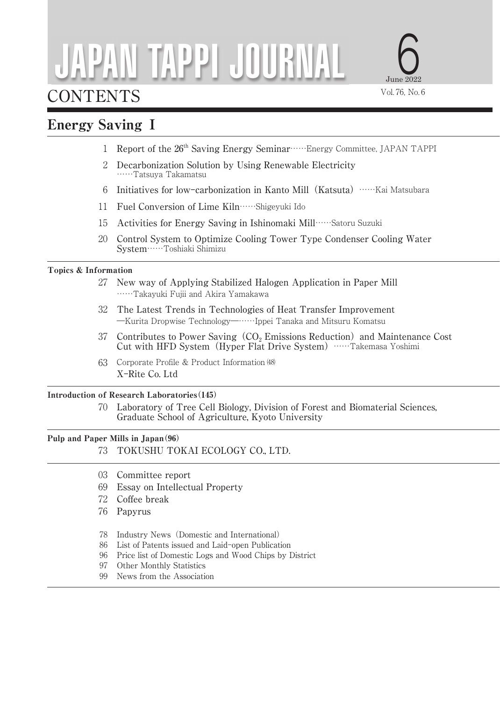# JAPAN TAPPI JOURNAL

# CONTENTS

# Energy Saving Ⅰ

- 1 Report of the 26<sup>th</sup> Saving Energy Seminar……Energy Committee, JAPAN TAPPI
- 2 Decarbonization Solution by Using Renewable Electricity ……Tatsuya Takamatsu
- 6 Initiatives for low-carbonization in Kanto Mill(Katsuta)……Kai Matsubara
- 11 Fuel Conversion of Lime Kiln……Shigeyuki Ido
- 15 Activities for Energy Saving in Ishinomaki Mill……Satoru Suzuki
- 20 Control System to Optimize Cooling Tower Type Condenser Cooling Water System……Toshiaki Shimizu

### Topics & Information

- 27 New way of Applying Stabilized Halogen Application in Paper Mill ……Takayuki Fujii and Akira Yamakawa
- 32 The Latest Trends in Technologies of Heat Transfer Improvement ―Kurita Dropwise Technology―……Ippei Tanaka and Mitsuru Komatsu
- 37 Contributes to Power Saving  $(CO_2$  Emissions Reduction) and Maintenance Cost Cut with HFD System(Hyper Flat Drive System)……Takemasa Yoshimi
- 63 Corporate Profile & Product Information (48) X-Rite Co. Ltd

## Introduction of Research Laboratories(145)

70 Laboratory of Tree Cell Biology, Division of Forest and Biomaterial Sciences, Graduate School of Agriculture, Kyoto University

# Pulp and Paper Mills in Japan(96)

- 73 TOKUSHU TOKAI ECOLOGY CO., LTD.
- 03 Committee report
- 69 Essay on Intellectual Property
- 72 Coffee break
- 76 Papyrus
- 78 Industry News(Domestic and International)
- 86 List of Patents issued and Laid-open Publication
- 96 Price list of Domestic Logs and Wood Chips by District
- 97 Other Monthly Statistics
- 99 News from the Association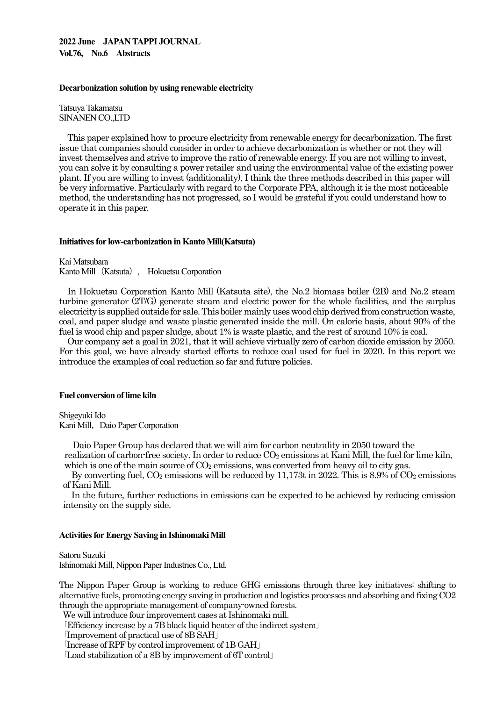#### **2022 June JAPAN TAPPI JOURNAL Vol.76, No.6 Abstracts**

#### **Decarbonization solution by using renewable electricity**

Tatsuya Takamatsu SINANEN CO.,LTD

This paper explained how to procure electricity from renewable energy for decarbonization. The first issue that companies should consider in order to achieve decarbonization is whether or not they will invest themselves and strive to improve the ratio of renewable energy. If you are not willing to invest, you can solve it by consulting a power retailer and using the environmental value of the existing power plant. If you are willing to invest (additionality), I think the three methods described in this paper will be very informative. Particularly with regard to the Corporate PPA, although it is the most noticeable method, the understanding has not progressed, so I would be grateful if you could understand how to operate it in this paper.

#### **Initiatives for low-carbonization in Kanto Mill(Katsuta)**

Kai Matsubara Kanto Mill (Katsuta), Hokuetsu Corporation

In Hokuetsu Corporation Kanto Mill (Katsuta site), the No.2 biomass boiler (2B) and No.2 steam turbine generator (2T/G) generate steam and electric power for the whole facilities, and the surplus electricity is supplied outside for sale. This boiler mainly uses wood chip derived from construction waste, coal, and paper sludge and waste plastic generated inside the mill. On calorie basis, about 90% of the fuel is wood chip and paper sludge, about 1% is waste plastic, and the rest of around 10% is coal.

Our company set a goal in 2021, that it will achieve virtually zero of carbon dioxide emission by 2050. For this goal, we have already started efforts to reduce coal used for fuel in 2020. In this report we introduce the examples of coal reduction so far and future policies.

#### **Fuel conversion of lime kiln**

Shigeyuki Ido Kani Mill, Daio Paper Corporation

Daio Paper Group has declared that we will aim for carbon neutrality in 2050 toward the realization of carbon-free society. In order to reduce  $CO<sub>2</sub>$  emissions at Kani Mill, the fuel for lime kiln, which is one of the main source of  $CO<sub>2</sub>$  emissions, was converted from heavy oil to city gas.

By converting fuel,  $CO_2$  emissions will be reduced by 11,173t in 2022. This is 8.9% of  $CO_2$  emissions of Kani Mill.

In the future, further reductions in emissions can be expected to be achieved by reducing emission intensity on the supply side.

#### **Activities for Energy Saving in Ishinomaki Mill**

Satoru Suzuki Ishinomaki Mill, Nippon Paper Industries Co., Ltd.

The Nippon Paper Group is working to reduce GHG emissions through three key initiatives: shifting to alternative fuels, promoting energy saving in production and logistics processes and absorbing and fixing CO2 through the appropriate management of company-owned forests.

We will introduce four improvement cases at Ishinomaki mill.

「Efficiency increase by a 7B black liquid heater of the indirect system」

「Improvement of practical use of 8B SAH」

「Increase of RPF by control improvement of 1B GAH」

「Load stabilization of a 8B by improvement of 6T control」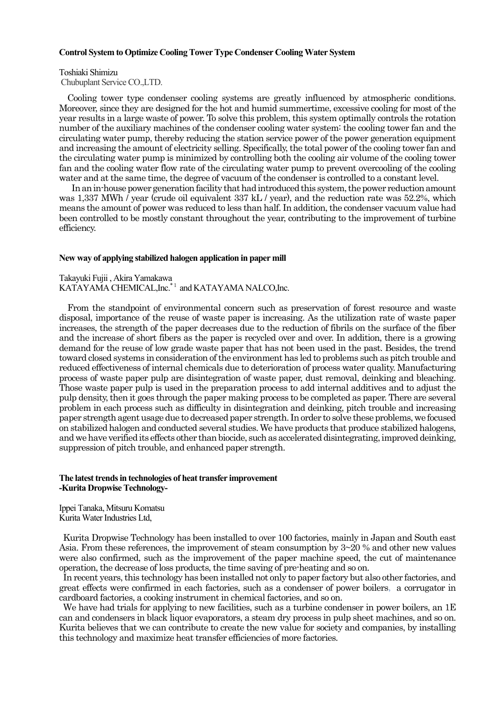#### **Control System to Optimize Cooling Tower Type Condenser Cooling Water System**

#### Toshiaki Shimizu

Chubuplant Service CO.,LTD.

Cooling tower type condenser cooling systems are greatly influenced by atmospheric conditions. Moreover, since they are designed for the hot and humid summertime, excessive cooling for most of the year results in a large waste of power. To solve this problem, this system optimally controls the rotation number of the auxiliary machines of the condenser cooling water system: the cooling tower fan and the circulating water pump, thereby reducing the station service power of the power generation equipment and increasing the amount of electricity selling. Specifically, the total power of the cooling tower fan and the circulating water pump is minimized by controlling both the cooling air volume of the cooling tower fan and the cooling water flow rate of the circulating water pump to prevent overcooling of the cooling water and at the same time, the degree of vacuum of the condenser is controlled to a constant level.

 In an in-house power generation facility that had introduced this system, the power reduction amount was 1,337 MWh / year (crude oil equivalent 337 kL / year), and the reduction rate was 52.2%, which means the amount of power was reduced to less than half. In addition, the condenser vacuum value had been controlled to be mostly constant throughout the year, contributing to the improvement of turbine efficiency.

#### **New way of applying stabilized halogen application in paper mill**

Takayuki Fujii , Akira Yamakawa KATAYAMA CHEMICAL,Inc.\*<sup>1</sup> and KATAYAMA NALCO,Inc.

From the standpoint of environmental concern such as preservation of forest resource and waste disposal, importance of the reuse of waste paper is increasing. As the utilization rate of waste paper increases, the strength of the paper decreases due to the reduction of fibrils on the surface of the fiber and the increase of short fibers as the paper is recycled over and over. In addition, there is a growing demand for the reuse of low grade waste paper that has not been used in the past. Besides, the trend toward closed systems in consideration of the environment has led to problems such as pitch trouble and reduced effectiveness of internal chemicals due to deterioration of process water quality. Manufacturing process of waste paper pulp are disintegration of waste paper, dust removal, deinking and bleaching. Those waste paper pulp is used in the preparation process to add internal additives and to adjust the pulp density, then it goes through the paper making process to be completed as paper. There are several problem in each process such as difficulty in disintegration and deinking, pitch trouble and increasing paper strength agent usage due to decreased paper strength. In order to solve these problems, we focused on stabilized halogen and conducted several studies. We have products that produce stabilized halogens, and we have verified its effects other than biocide, such as accelerated disintegrating, improved deinking, suppression of pitch trouble, and enhanced paper strength.

#### **The latest trends in technologies of heat transfer improvement -Kurita Dropwise Technology-**

Ippei Tanaka, Mitsuru Komatsu Kurita Water Industries Ltd,

Kurita Dropwise Technology has been installed to over 100 factories, mainly in Japan and South east Asia. From these references, the improvement of steam consumption by 3~20 % and other new values were also confirmed, such as the improvement of the paper machine speed, the cut of maintenance operation, the decrease of loss products, the time saving of pre-heating and so on.

In recent years, this technology has been installed not only to paper factory but also other factories, and great effects were confirmed in each factories, such as a condenser of power boilers, a corrugator in cardboard factories, a cooking instrument in chemical factories, and so on.

We have had trials for applying to new facilities, such as a turbine condenser in power boilers, an 1E can and condensers in black liquor evaporators, a steam dry process in pulp sheet machines, and so on. Kurita believes that we can contribute to create the new value for society and companies, by installing this technology and maximize heat transfer efficiencies of more factories.